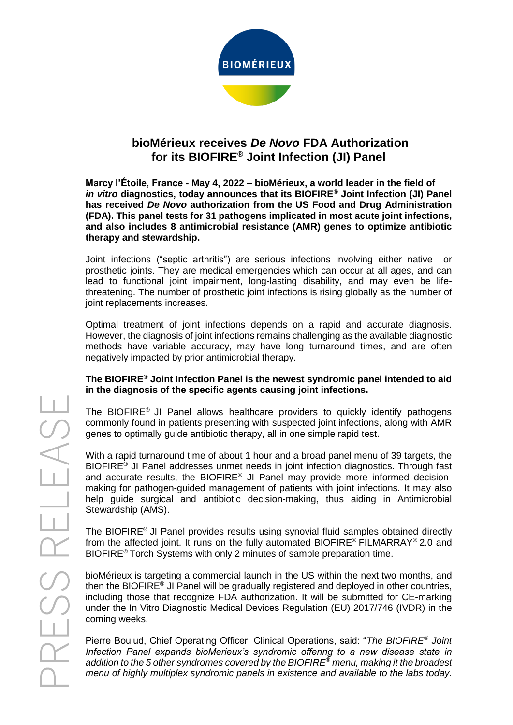

# **bioMérieux receives** *De Novo* **FDA Authorization for its BIOFIRE® Joint Infection (JI) Panel**

**Marcy l'Étoile, France - May 4, 2022 – bioMérieux, a world leader in the field of**  *in vitro* **diagnostics, today announces that its BIOFIRE® Joint Infection (JI) Panel has received** *De Novo* **authorization from the US Food and Drug Administration (FDA). This panel tests for 31 pathogens implicated in most acute joint infections, and also includes 8 antimicrobial resistance (AMR) genes to optimize antibiotic therapy and stewardship.**

Joint infections ("septic arthritis") are serious infections involving either native or prosthetic joints. They are medical emergencies which can occur at all ages, and can lead to functional joint impairment, long-lasting disability, and may even be lifethreatening. The number of prosthetic joint infections is rising globally as the number of joint replacements increases.

Optimal treatment of joint infections depends on a rapid and accurate diagnosis. However, the diagnosis of joint infections remains challenging as the available diagnostic methods have variable accuracy, may have long turnaround times, and are often negatively impacted by prior antimicrobial therapy.

### **The BIOFIRE® Joint Infection Panel is the newest syndromic panel intended to aid in the diagnosis of the specific agents causing joint infections.**

The BIOFIRE® JI Panel allows healthcare providers to quickly identify pathogens commonly found in patients presenting with suspected joint infections, along with AMR genes to optimally guide antibiotic therapy, all in one simple rapid test.

With a rapid turnaround time of about 1 hour and a broad panel menu of 39 targets, the BIOFIRE® JI Panel addresses unmet needs in joint infection diagnostics. Through fast and accurate results, the BIOFIRE® JI Panel may provide more informed decisionmaking for pathogen-guided management of patients with joint infections. It may also help guide surgical and antibiotic decision-making, thus aiding in Antimicrobial Stewardship (AMS).

The BIOFIRE<sup>®</sup> JI Panel provides results using synovial fluid samples obtained directly from the affected joint. It runs on the fully automated BIOFIRE® FILMARRAY® 2.0 and BIOFIRE® Torch Systems with only 2 minutes of sample preparation time.

bioMérieux is targeting a commercial launch in the US within the next two months, and then the BIOFIRE® JI Panel will be gradually registered and deployed in other countries, including those that recognize FDA authorization. It will be submitted for CE-marking under the In Vitro Diagnostic Medical Devices Regulation (EU) 2017/746 (IVDR) in the coming weeks.

Pierre Boulud, Chief Operating Officer, Clinical Operations, said: "*The BIOFIRE® Joint Infection Panel expands bioMerieux's syndromic offering to a new disease state in addition to the 5 other syndromes covered by the BIOFIRE® menu, making it the broadest menu of highly multiplex syndromic panels in existence and available to the labs today.*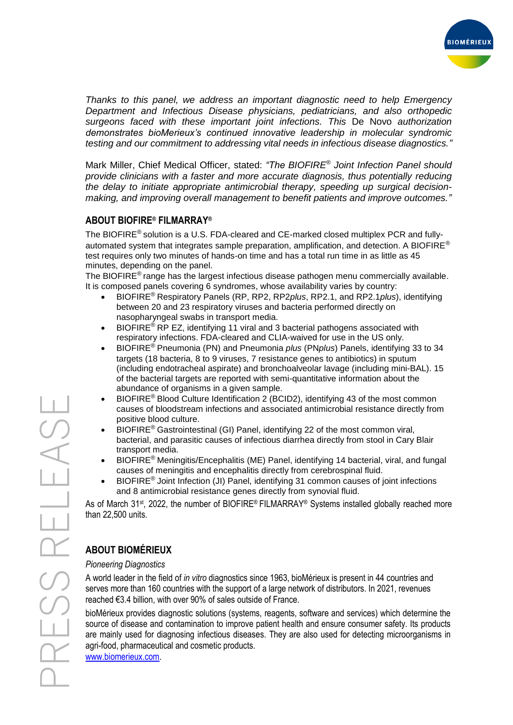

*Thanks to this panel, we address an important diagnostic need to help Emergency Department and Infectious Disease physicians, pediatricians, and also orthopedic surgeons faced with these important joint infections. This* De Novo *authorization demonstrates bioMerieux's continued innovative leadership in molecular syndromic testing and our commitment to addressing vital needs in infectious disease diagnostics."*

Mark Miller, Chief Medical Officer, stated: *"The BIOFIRE® Joint Infection Panel should provide clinicians with a faster and more accurate diagnosis, thus potentially reducing the delay to initiate appropriate antimicrobial therapy, speeding up surgical decisionmaking, and improving overall management to benefit patients and improve outcomes."*

# **ABOUT BIOFIRE® FILMARRAY®**

The BIOFIRE<sup>®</sup> solution is a U.S. FDA-cleared and CE-marked closed multiplex PCR and fullyautomated system that integrates sample preparation, amplification, and detection. A BIOFIRE<sup>®</sup> test requires only two minutes of hands-on time and has a total run time in as little as 45 minutes, depending on the panel.

The BIOFIRE<sup>®</sup> range has the largest infectious disease pathogen menu commercially available. It is composed panels covering 6 syndromes, whose availability varies by country:

- BIOFIRE® Respiratory Panels (RP, RP2, RP2*plus*, RP2.1, and RP2.1*plus*), identifying between 20 and 23 respiratory viruses and bacteria performed directly on nasopharyngeal swabs in transport media.
- BIOFIRE® RP EZ, identifying 11 viral and 3 bacterial pathogens associated with respiratory infections. FDA-cleared and CLIA-waived for use in the US only.
- BIOFIRE® Pneumonia (PN) and Pneumonia *plus* (PN*plus*) Panels, identifying 33 to 34 targets (18 bacteria, 8 to 9 viruses, 7 resistance genes to antibiotics) in sputum (including endotracheal aspirate) and bronchoalveolar lavage (including mini-BAL). 15 of the bacterial targets are reported with semi-quantitative information about the abundance of organisms in a given sample.
- BIOFIRE® Blood Culture Identification 2 (BCID2), identifying 43 of the most common causes of bloodstream infections and associated antimicrobial resistance directly from positive blood culture.
- BIOFIRE® Gastrointestinal (GI) Panel, identifying 22 of the most common viral, bacterial, and parasitic causes of infectious diarrhea directly from stool in Cary Blair transport media.
- BIOFIRE® Meningitis/Encephalitis (ME) Panel, identifying 14 bacterial, viral, and fungal causes of meningitis and encephalitis directly from cerebrospinal fluid.
- BIOFIRE<sup>®</sup> Joint Infection (JI) Panel, identifying 31 common causes of joint infections and 8 antimicrobial resistance genes directly from synovial fluid.

As of March 31<sup>st</sup>, 2022, the number of BIOFIRE® FILMARRAY® Systems installed globally reached more than 22,500 units.

# **ABOUT BIOMÉRIEUX**

### *Pioneering Diagnostics*

A world leader in the field of *in vitro* diagnostics since 1963, bioMérieux is present in 44 countries and serves more than 160 countries with the support of a large network of distributors. In 2021, revenues reached €3.4 billion, with over 90% of sales outside of France.

bioMérieux provides diagnostic solutions (systems, reagents, software and services) which determine the source of disease and contamination to improve patient health and ensure consumer safety. Its products are mainly used for diagnosing infectious diseases. They are also used for detecting microorganisms in agri-food, pharmaceutical and cosmetic products.

[www.biomerieux.com.](http://www.biomerieux.com/)